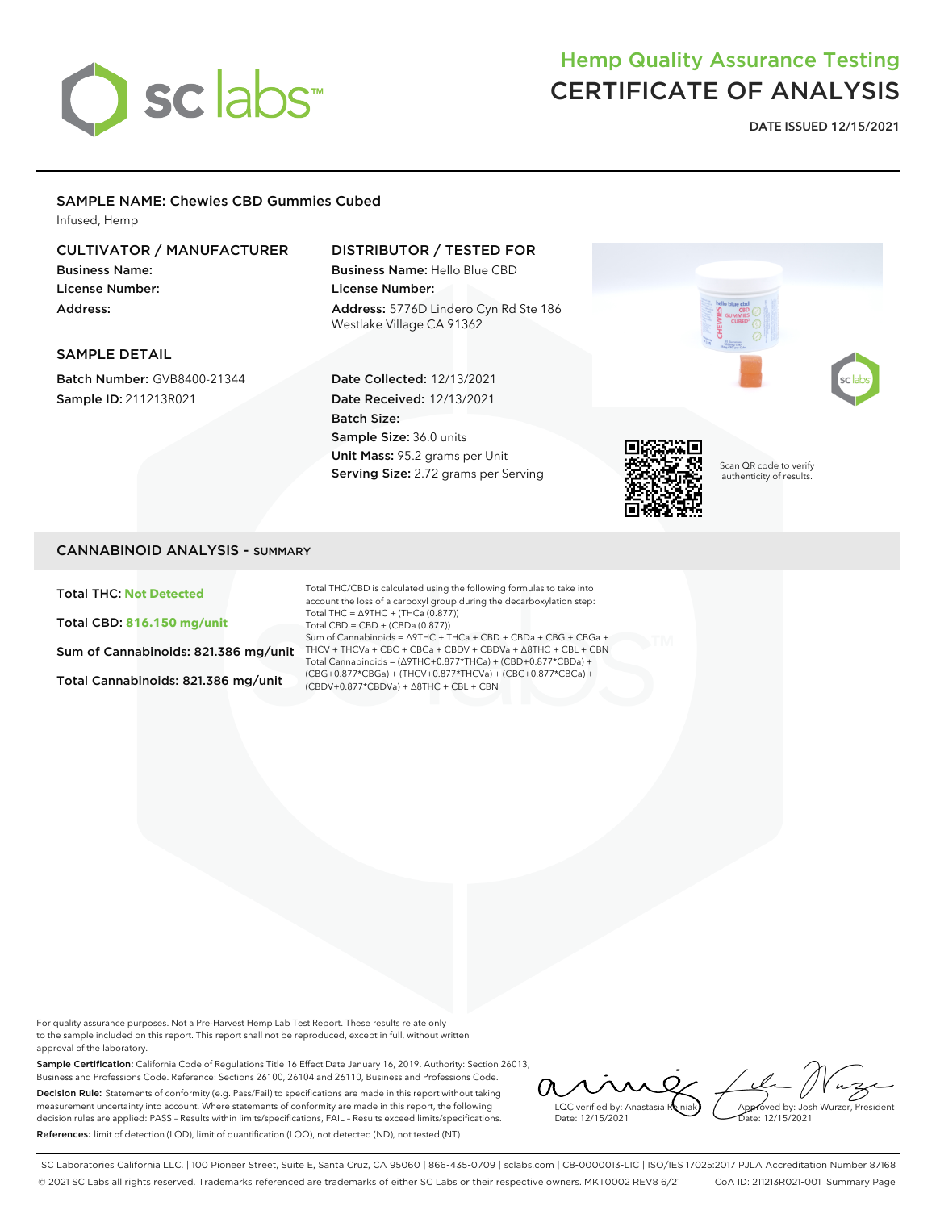

# Hemp Quality Assurance Testing CERTIFICATE OF ANALYSIS

**DATE ISSUED 12/15/2021**

#### SAMPLE NAME: Chewies CBD Gummies Cubed

Infused, Hemp

### CULTIVATOR / MANUFACTURER

Business Name: License Number: Address:

## DISTRIBUTOR / TESTED FOR

Business Name: Hello Blue CBD License Number: Address: 5776D Lindero Cyn Rd Ste 186 Westlake Village CA 91362

#### SAMPLE DETAIL

Batch Number: GVB8400-21344 Sample ID: 211213R021

#### Date Collected: 12/13/2021 Date Received: 12/13/2021 Batch Size: Sample Size: 36.0 units Unit Mass: 95.2 grams per Unit Serving Size: 2.72 grams per Serving



Scan QR code to verify authenticity of results.

#### CANNABINOID ANALYSIS - SUMMARY

Total THC: **Not Detected**

Total CBD: **816.150 mg/unit**

Sum of Cannabinoids: 821.386 mg/unit

Total Cannabinoids: 821.386 mg/unit

Total THC/CBD is calculated using the following formulas to take into account the loss of a carboxyl group during the decarboxylation step: Total THC = ∆9THC + (THCa (0.877)) Total CBD = CBD + (CBDa (0.877)) Sum of Cannabinoids = ∆9THC + THCa + CBD + CBDa + CBG + CBGa + THCV + THCVa + CBC + CBCa + CBDV + CBDVa + ∆8THC + CBL + CBN Total Cannabinoids = (∆9THC+0.877\*THCa) + (CBD+0.877\*CBDa) + (CBG+0.877\*CBGa) + (THCV+0.877\*THCVa) + (CBC+0.877\*CBCa) + (CBDV+0.877\*CBDVa) + ∆8THC + CBL + CBN

For quality assurance purposes. Not a Pre-Harvest Hemp Lab Test Report. These results relate only to the sample included on this report. This report shall not be reproduced, except in full, without written approval of the laboratory.

Sample Certification: California Code of Regulations Title 16 Effect Date January 16, 2019. Authority: Section 26013, Business and Professions Code. Reference: Sections 26100, 26104 and 26110, Business and Professions Code. Decision Rule: Statements of conformity (e.g. Pass/Fail) to specifications are made in this report without taking measurement uncertainty into account. Where statements of conformity are made in this report, the following decision rules are applied: PASS – Results within limits/specifications, FAIL – Results exceed limits/specifications. References: limit of detection (LOD), limit of quantification (LOQ), not detected (ND), not tested (NT)

LOC verified by: Anastasia R Date: 12/15/2021

Approved by: Josh Wurzer, President Date: 12/15/2021

SC Laboratories California LLC. | 100 Pioneer Street, Suite E, Santa Cruz, CA 95060 | 866-435-0709 | sclabs.com | C8-0000013-LIC | ISO/IES 17025:2017 PJLA Accreditation Number 87168 © 2021 SC Labs all rights reserved. Trademarks referenced are trademarks of either SC Labs or their respective owners. MKT0002 REV8 6/21 CoA ID: 211213R021-001 Summary Page